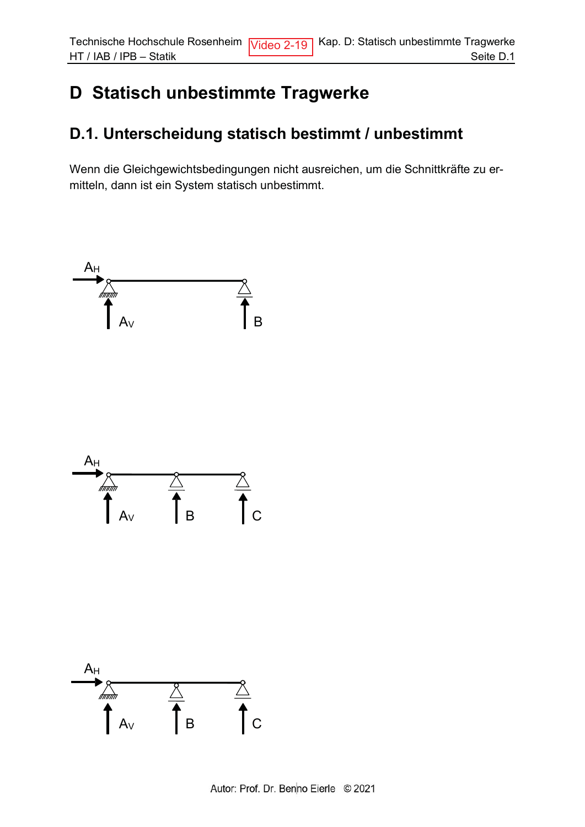# D Statisch unbestimmte Tragwerke

### D.1. Unterscheidung statisch bestimmt / unbestimmt

Wenn die Gleichgewichtsbedingungen nicht ausreichen, um die Schnittkräfte zu ermitteln, dann ist ein System statisch unbestimmt.

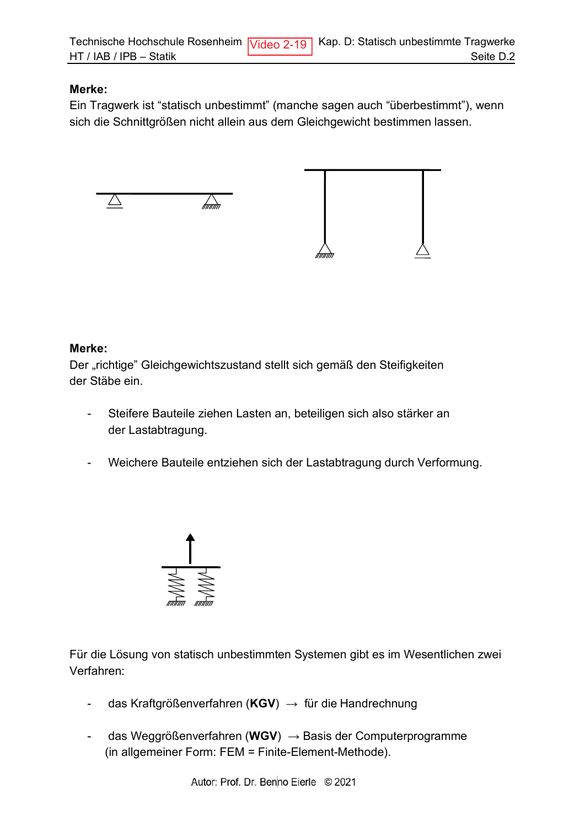#### Merke:

Ein Tragwerk ist "statisch unbestimmt" (manche sagen auch "überbestimmt"), wenn sich die Schnittgrößen nicht allein aus dem Gleichgewicht bestimmen lassen.



#### Merke:

Der "richtige" Gleichgewichtszustand stellt sich gemäß den Steifigkeiten der Stäbe ein.

- Steifere Bauteile ziehen Lasten an, beteiligen sich also stärker an  $\sim 100$ der Lastabtragung.
- Weichere Bauteile entziehen sich der Lastabtragung durch Verformung.



Für die Lösung von statisch unbestimmten Systemen gibt es im Wesentlichen zwei Verfahren:

- das Kraftgrößenverfahren (KGV)  $\rightarrow$  für die Handrechnung
- das Weggrößenverfahren (WGV)  $\rightarrow$  Basis der Computerprogramme  $\omega_{\rm{max}}$ (in allgemeiner Form: FEM = Finite-Element-Methode).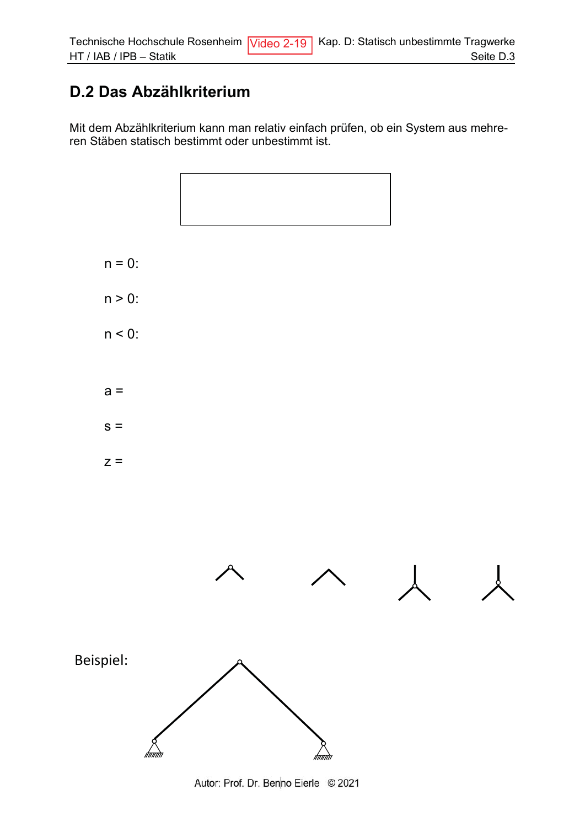## **D.2 Das Abzählkriterium**

Mit dem Abzählkriterium kann man relativ einfach prüfen, ob ein System aus mehreren Stäben statisch bestimmt oder unbestimmt ist.



Autor: Prof. Dr. Benno Eierle © 2021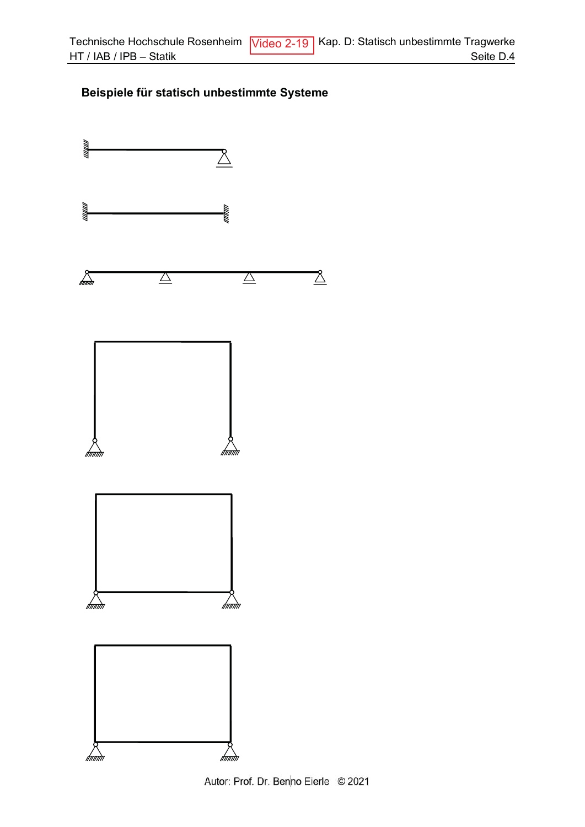#### Beispiele für statisch unbestimmte Systeme

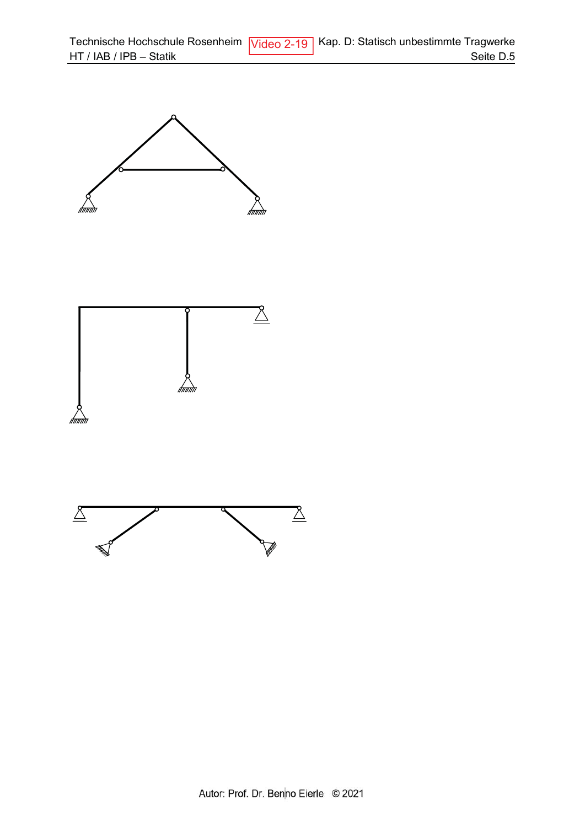



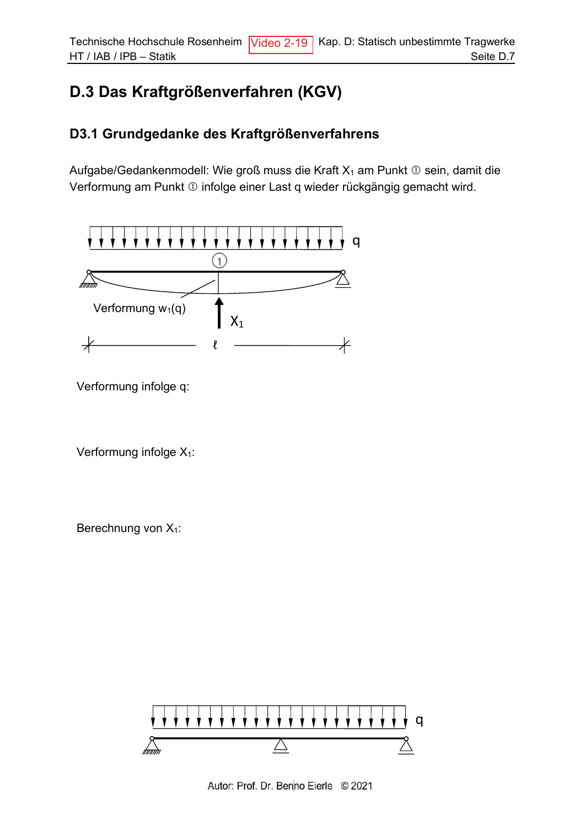## D.3 Das Kraftgrößenverfahren (KGV)

### D3.1 Grundgedanke des Kraftgrößenverfahrens

Aufgabe/Gedankenmodell: Wie groß muss die Kraft X<sub>1</sub> am Punkt <sup>1</sup> sein, damit die Verformung am Punkt 1 infolge einer Last q wieder rückgängig gemacht wird.



Verformung infolge q:

Verformung infolge X<sub>1</sub>:

Berechnung von X<sub>1</sub>:



Autor: Prof. Dr. Benno Eierle © 2021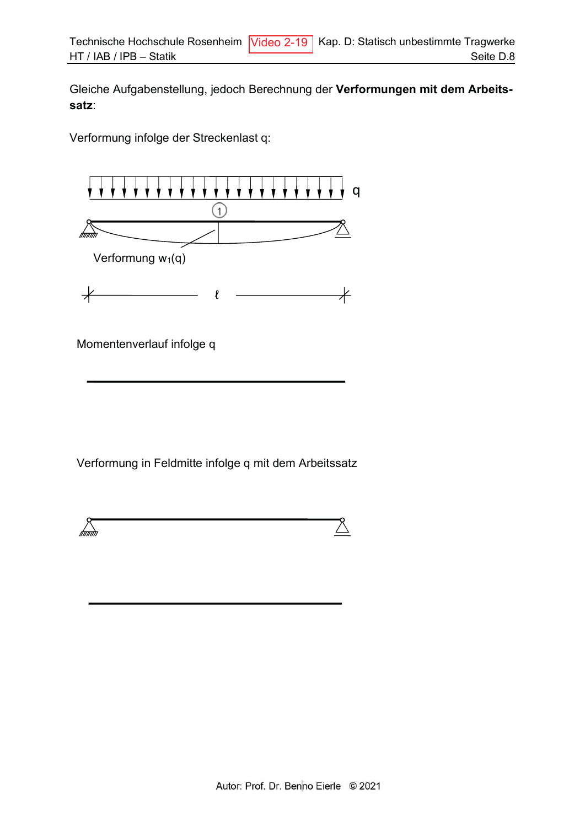Gleiche Aufgabenstellung, jedoch Berechnung der Verformungen mit dem Arbeitssatz:

Verformung infolge der Streckenlast q:



Verformung in Feldmitte infolge q mit dem Arbeitssatz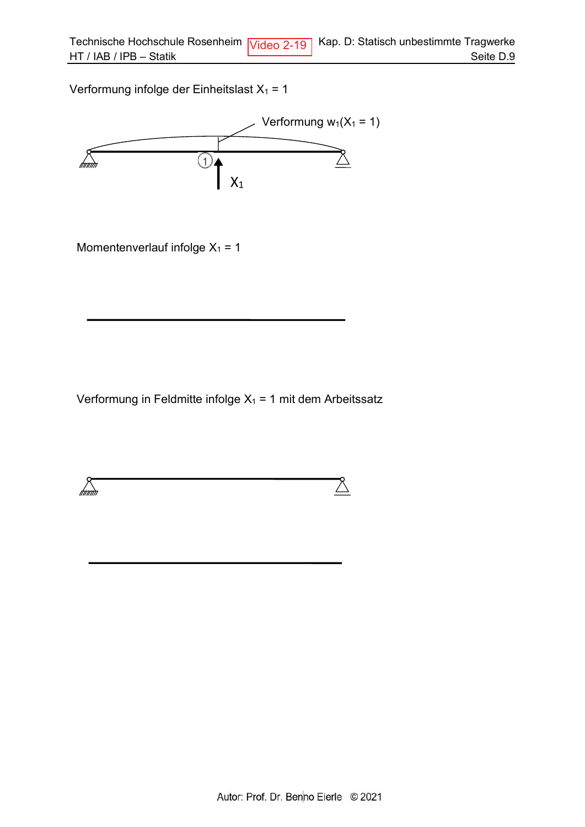Verformung infolge der Einheitslast  $X_1 = 1$ 



Momentenverlauf infolge  $X_1 = 1$ 

Verformung in Feldmitte infolge  $X_1 = 1$  mit dem Arbeitssatz

Autor: Prof. Dr. Benno Eierle © 2021

Ž